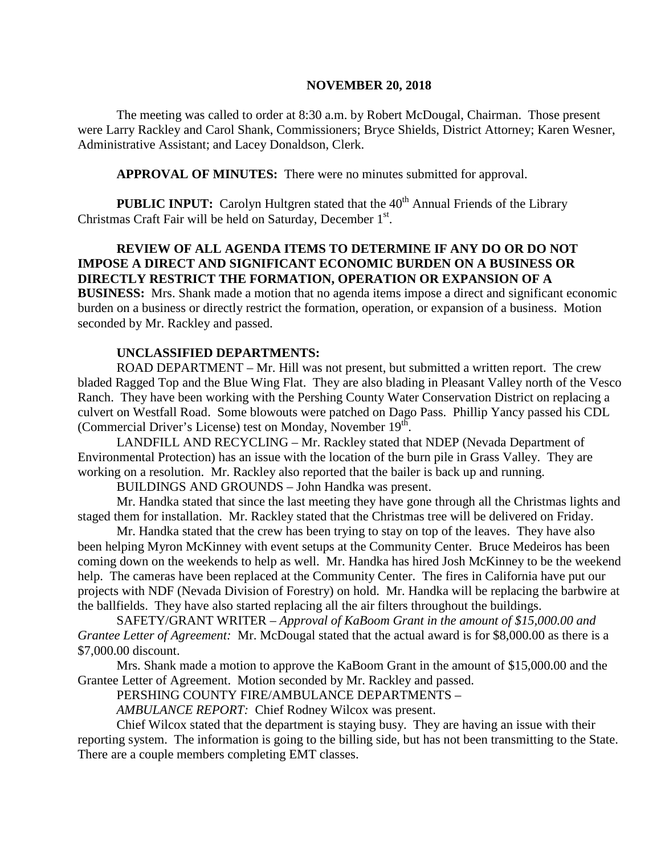#### **NOVEMBER 20, 2018**

The meeting was called to order at 8:30 a.m. by Robert McDougal, Chairman. Those present were Larry Rackley and Carol Shank, Commissioners; Bryce Shields, District Attorney; Karen Wesner, Administrative Assistant; and Lacey Donaldson, Clerk.

**APPROVAL OF MINUTES:** There were no minutes submitted for approval.

**PUBLIC INPUT:** Carolyn Hultgren stated that the 40<sup>th</sup> Annual Friends of the Library Christmas Craft Fair will be held on Saturday, December 1st.

# **REVIEW OF ALL AGENDA ITEMS TO DETERMINE IF ANY DO OR DO NOT IMPOSE A DIRECT AND SIGNIFICANT ECONOMIC BURDEN ON A BUSINESS OR DIRECTLY RESTRICT THE FORMATION, OPERATION OR EXPANSION OF A**

**BUSINESS:** Mrs. Shank made a motion that no agenda items impose a direct and significant economic burden on a business or directly restrict the formation, operation, or expansion of a business. Motion seconded by Mr. Rackley and passed.

### **UNCLASSIFIED DEPARTMENTS:**

ROAD DEPARTMENT – Mr. Hill was not present, but submitted a written report. The crew bladed Ragged Top and the Blue Wing Flat. They are also blading in Pleasant Valley north of the Vesco Ranch. They have been working with the Pershing County Water Conservation District on replacing a culvert on Westfall Road. Some blowouts were patched on Dago Pass. Phillip Yancy passed his CDL (Commercial Driver's License) test on Monday, November 19<sup>th</sup>.

LANDFILL AND RECYCLING – Mr. Rackley stated that NDEP (Nevada Department of Environmental Protection) has an issue with the location of the burn pile in Grass Valley. They are working on a resolution. Mr. Rackley also reported that the bailer is back up and running.

BUILDINGS AND GROUNDS – John Handka was present.

Mr. Handka stated that since the last meeting they have gone through all the Christmas lights and staged them for installation. Mr. Rackley stated that the Christmas tree will be delivered on Friday.

Mr. Handka stated that the crew has been trying to stay on top of the leaves. They have also been helping Myron McKinney with event setups at the Community Center. Bruce Medeiros has been coming down on the weekends to help as well. Mr. Handka has hired Josh McKinney to be the weekend help. The cameras have been replaced at the Community Center. The fires in California have put our projects with NDF (Nevada Division of Forestry) on hold. Mr. Handka will be replacing the barbwire at the ballfields. They have also started replacing all the air filters throughout the buildings.

SAFETY/GRANT WRITER – *Approval of KaBoom Grant in the amount of \$15,000.00 and Grantee Letter of Agreement:* Mr. McDougal stated that the actual award is for \$8,000.00 as there is a \$7,000.00 discount.

Mrs. Shank made a motion to approve the KaBoom Grant in the amount of \$15,000.00 and the Grantee Letter of Agreement. Motion seconded by Mr. Rackley and passed.

PERSHING COUNTY FIRE/AMBULANCE DEPARTMENTS –

*AMBULANCE REPORT:* Chief Rodney Wilcox was present.

Chief Wilcox stated that the department is staying busy. They are having an issue with their reporting system. The information is going to the billing side, but has not been transmitting to the State. There are a couple members completing EMT classes.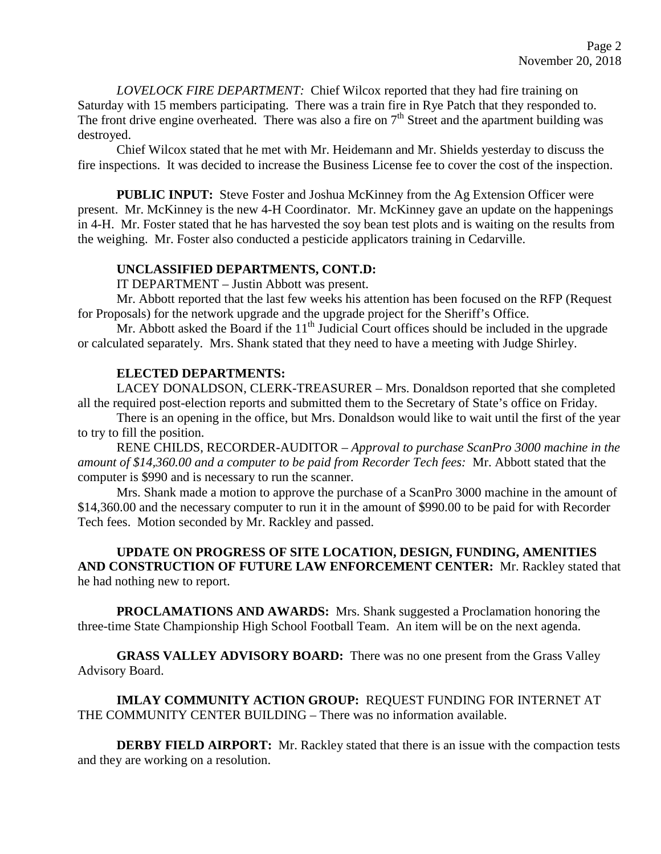*LOVELOCK FIRE DEPARTMENT:* Chief Wilcox reported that they had fire training on Saturday with 15 members participating. There was a train fire in Rye Patch that they responded to. The front drive engine overheated. There was also a fire on  $7<sup>th</sup>$  Street and the apartment building was destroyed.

Chief Wilcox stated that he met with Mr. Heidemann and Mr. Shields yesterday to discuss the fire inspections. It was decided to increase the Business License fee to cover the cost of the inspection.

**PUBLIC INPUT:** Steve Foster and Joshua McKinney from the Ag Extension Officer were present. Mr. McKinney is the new 4-H Coordinator. Mr. McKinney gave an update on the happenings in 4-H. Mr. Foster stated that he has harvested the soy bean test plots and is waiting on the results from the weighing. Mr. Foster also conducted a pesticide applicators training in Cedarville.

### **UNCLASSIFIED DEPARTMENTS, CONT.D:**

IT DEPARTMENT – Justin Abbott was present.

Mr. Abbott reported that the last few weeks his attention has been focused on the RFP (Request for Proposals) for the network upgrade and the upgrade project for the Sheriff's Office.

Mr. Abbott asked the Board if the  $11<sup>th</sup>$  Judicial Court offices should be included in the upgrade or calculated separately. Mrs. Shank stated that they need to have a meeting with Judge Shirley.

## **ELECTED DEPARTMENTS:**

LACEY DONALDSON, CLERK-TREASURER – Mrs. Donaldson reported that she completed all the required post-election reports and submitted them to the Secretary of State's office on Friday.

There is an opening in the office, but Mrs. Donaldson would like to wait until the first of the year to try to fill the position.

RENE CHILDS, RECORDER-AUDITOR – *Approval to purchase ScanPro 3000 machine in the amount of \$14,360.00 and a computer to be paid from Recorder Tech fees:* Mr. Abbott stated that the computer is \$990 and is necessary to run the scanner.

Mrs. Shank made a motion to approve the purchase of a ScanPro 3000 machine in the amount of \$14,360.00 and the necessary computer to run it in the amount of \$990.00 to be paid for with Recorder Tech fees. Motion seconded by Mr. Rackley and passed.

**UPDATE ON PROGRESS OF SITE LOCATION, DESIGN, FUNDING, AMENITIES AND CONSTRUCTION OF FUTURE LAW ENFORCEMENT CENTER:** Mr. Rackley stated that he had nothing new to report.

**PROCLAMATIONS AND AWARDS:** Mrs. Shank suggested a Proclamation honoring the three-time State Championship High School Football Team. An item will be on the next agenda.

**GRASS VALLEY ADVISORY BOARD:** There was no one present from the Grass Valley Advisory Board.

**IMLAY COMMUNITY ACTION GROUP:** REQUEST FUNDING FOR INTERNET AT THE COMMUNITY CENTER BUILDING – There was no information available.

**DERBY FIELD AIRPORT:** Mr. Rackley stated that there is an issue with the compaction tests and they are working on a resolution.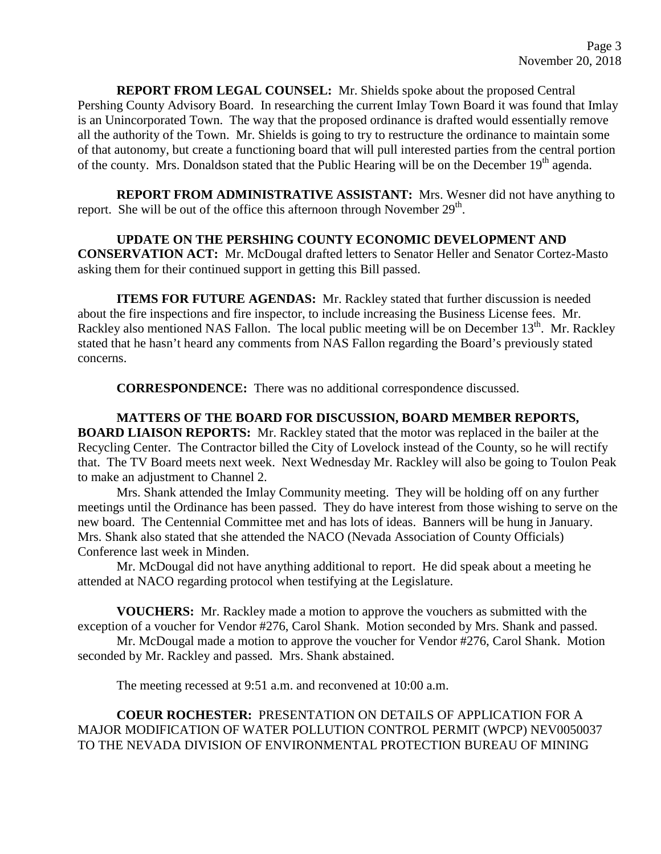**REPORT FROM LEGAL COUNSEL:** Mr. Shields spoke about the proposed Central Pershing County Advisory Board. In researching the current Imlay Town Board it was found that Imlay is an Unincorporated Town. The way that the proposed ordinance is drafted would essentially remove all the authority of the Town. Mr. Shields is going to try to restructure the ordinance to maintain some of that autonomy, but create a functioning board that will pull interested parties from the central portion of the county. Mrs. Donaldson stated that the Public Hearing will be on the December 19<sup>th</sup> agenda.

**REPORT FROM ADMINISTRATIVE ASSISTANT:** Mrs. Wesner did not have anything to report. She will be out of the office this afternoon through November  $29<sup>th</sup>$ .

## **UPDATE ON THE PERSHING COUNTY ECONOMIC DEVELOPMENT AND**

**CONSERVATION ACT:** Mr. McDougal drafted letters to Senator Heller and Senator Cortez-Masto asking them for their continued support in getting this Bill passed.

**ITEMS FOR FUTURE AGENDAS:** Mr. Rackley stated that further discussion is needed about the fire inspections and fire inspector, to include increasing the Business License fees. Mr. Rackley also mentioned NAS Fallon. The local public meeting will be on December 13<sup>th</sup>. Mr. Rackley stated that he hasn't heard any comments from NAS Fallon regarding the Board's previously stated concerns.

**CORRESPONDENCE:** There was no additional correspondence discussed.

**MATTERS OF THE BOARD FOR DISCUSSION, BOARD MEMBER REPORTS, BOARD LIAISON REPORTS:** Mr. Rackley stated that the motor was replaced in the bailer at the Recycling Center. The Contractor billed the City of Lovelock instead of the County, so he will rectify that. The TV Board meets next week. Next Wednesday Mr. Rackley will also be going to Toulon Peak to make an adjustment to Channel 2.

Mrs. Shank attended the Imlay Community meeting. They will be holding off on any further meetings until the Ordinance has been passed. They do have interest from those wishing to serve on the new board. The Centennial Committee met and has lots of ideas. Banners will be hung in January. Mrs. Shank also stated that she attended the NACO (Nevada Association of County Officials) Conference last week in Minden.

Mr. McDougal did not have anything additional to report. He did speak about a meeting he attended at NACO regarding protocol when testifying at the Legislature.

**VOUCHERS:** Mr. Rackley made a motion to approve the vouchers as submitted with the exception of a voucher for Vendor #276, Carol Shank. Motion seconded by Mrs. Shank and passed.

Mr. McDougal made a motion to approve the voucher for Vendor #276, Carol Shank. Motion seconded by Mr. Rackley and passed. Mrs. Shank abstained.

The meeting recessed at 9:51 a.m. and reconvened at 10:00 a.m.

# **COEUR ROCHESTER:** PRESENTATION ON DETAILS OF APPLICATION FOR A MAJOR MODIFICATION OF WATER POLLUTION CONTROL PERMIT (WPCP) NEV0050037 TO THE NEVADA DIVISION OF ENVIRONMENTAL PROTECTION BUREAU OF MINING